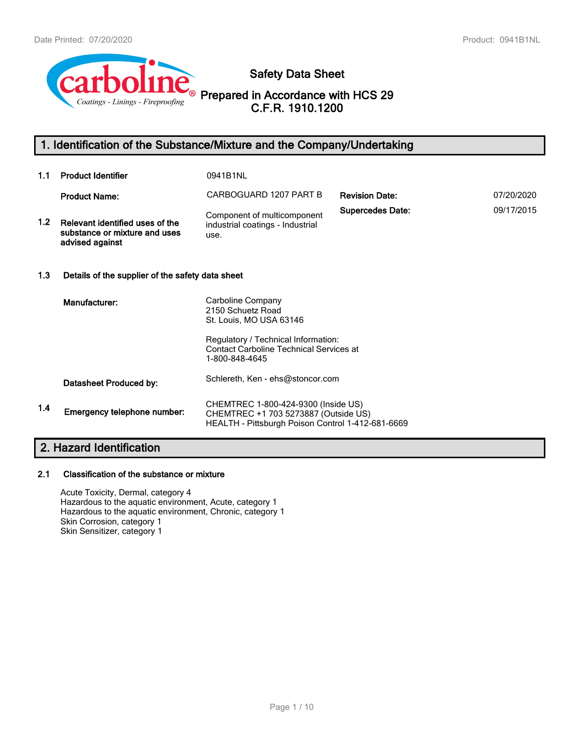

**Safety Data Sheet**

**Prepared in Accordance with HCS 29 C.F.R. 1910.1200**

# **1. Identification of the Substance/Mixture and the Company/Undertaking**

| 1.1              | <b>Product Identifier</b>                                                           | 0941B1NL                                                                                                                                                   |                         |            |
|------------------|-------------------------------------------------------------------------------------|------------------------------------------------------------------------------------------------------------------------------------------------------------|-------------------------|------------|
|                  | <b>Product Name:</b>                                                                | CARBOGUARD 1207 PART B                                                                                                                                     | <b>Revision Date:</b>   | 07/20/2020 |
| 1.2 <sub>2</sub> | Relevant identified uses of the<br>substance or mixture and uses<br>advised against | Component of multicomponent<br>industrial coatings - Industrial<br>use.                                                                                    | <b>Supercedes Date:</b> | 09/17/2015 |
| 1.3              | Details of the supplier of the safety data sheet                                    |                                                                                                                                                            |                         |            |
|                  | Manufacturer:                                                                       | Carboline Company<br>2150 Schuetz Road<br>St. Louis, MO USA 63146<br>Regulatory / Technical Information:<br><b>Contact Carboline Technical Services at</b> |                         |            |
|                  |                                                                                     | 1-800-848-4645                                                                                                                                             |                         |            |
|                  | Datasheet Produced by:                                                              | Schlereth, Ken - ehs@stoncor.com                                                                                                                           |                         |            |
| 1.4              | Emergency telephone number:                                                         | CHEMTREC 1-800-424-9300 (Inside US)<br>CHEMTREC +1 703 5273887 (Outside US)<br>HEALTH - Pittsburgh Poison Control 1-412-681-6669                           |                         |            |

# **2. Hazard Identification**

### **2.1 Classification of the substance or mixture**

Acute Toxicity, Dermal, category 4 Hazardous to the aquatic environment, Acute, category 1 Hazardous to the aquatic environment, Chronic, category 1 Skin Corrosion, category 1 Skin Sensitizer, category 1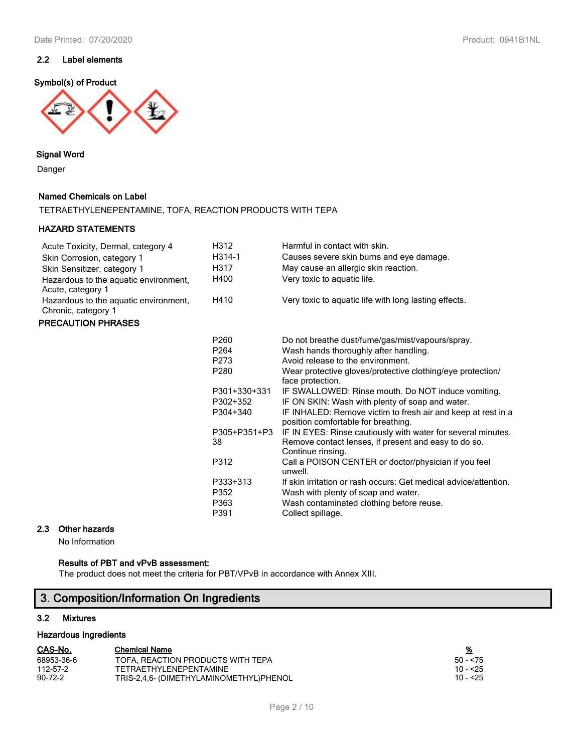# **2.2 Label elements**

# **Symbol(s) of Product**



### **Signal Word**

Danger

### **Named Chemicals on Label**

TETRAETHYLENEPENTAMINE, TOFA, REACTION PRODUCTS WITH TEPA

### **HAZARD STATEMENTS**

| Acute Toxicity, Dermal, category 4                           | H312             | Harmful in contact with skin.                                                                       |
|--------------------------------------------------------------|------------------|-----------------------------------------------------------------------------------------------------|
| Skin Corrosion, category 1                                   | H314-1           | Causes severe skin burns and eye damage.                                                            |
| Skin Sensitizer, category 1                                  | H317             | May cause an allergic skin reaction.                                                                |
| Hazardous to the aquatic environment,<br>Acute, category 1   | H400             | Very toxic to aquatic life.                                                                         |
| Hazardous to the aquatic environment,<br>Chronic, category 1 | H410             | Very toxic to aquatic life with long lasting effects.                                               |
| PRECAUTION PHRASES                                           |                  |                                                                                                     |
|                                                              | P260             | Do not breathe dust/fume/gas/mist/vapours/spray.                                                    |
|                                                              | P <sub>264</sub> | Wash hands thoroughly after handling.                                                               |
|                                                              | P <sub>273</sub> | Avoid release to the environment.                                                                   |
|                                                              | P280             | Wear protective gloves/protective clothing/eye protection/<br>face protection.                      |
|                                                              | P301+330+331     | IF SWALLOWED: Rinse mouth. Do NOT induce vomiting.                                                  |
|                                                              | P302+352         | IF ON SKIN: Wash with plenty of soap and water.                                                     |
|                                                              | P304+340         | IF INHALED: Remove victim to fresh air and keep at rest in a<br>position comfortable for breathing. |
|                                                              | P305+P351+P3     | IF IN EYES: Rinse cautiously with water for several minutes.                                        |
|                                                              | 38               | Remove contact lenses, if present and easy to do so.<br>Continue rinsing.                           |
|                                                              | P312             | Call a POISON CENTER or doctor/physician if you feel<br>unwell.                                     |
|                                                              | P333+313         | If skin irritation or rash occurs: Get medical advice/attention.                                    |
|                                                              | P352             | Wash with plenty of soap and water.                                                                 |
|                                                              | P363             | Wash contaminated clothing before reuse.                                                            |
|                                                              | P391             | Collect spillage.                                                                                   |
|                                                              |                  |                                                                                                     |

### **2.3 Other hazards**

No Information

### **Results of PBT and vPvB assessment:**

The product does not meet the criteria for PBT/VPvB in accordance with Annex XIII.

# **3. Composition/Information On Ingredients**

# **3.2 Mixtures**

### **Hazardous Ingredients**

| CAS-No. | <b>Chemical Name</b> |  | % |
|---------|----------------------|--|---|
|---------|----------------------|--|---|

| 68953-36-6 | TOFA, REACTION PRODUCTS WITH TEPA       | $50 - 575$ |
|------------|-----------------------------------------|------------|
| 112-57-2   | <b>TETRAETHYLENEPENTAMINE</b>           | 10 - <25   |
| 90-72-2    | TRIS-2,4,6- (DIMETHYLAMINOMETHYL)PHENOL | 10 - <25   |

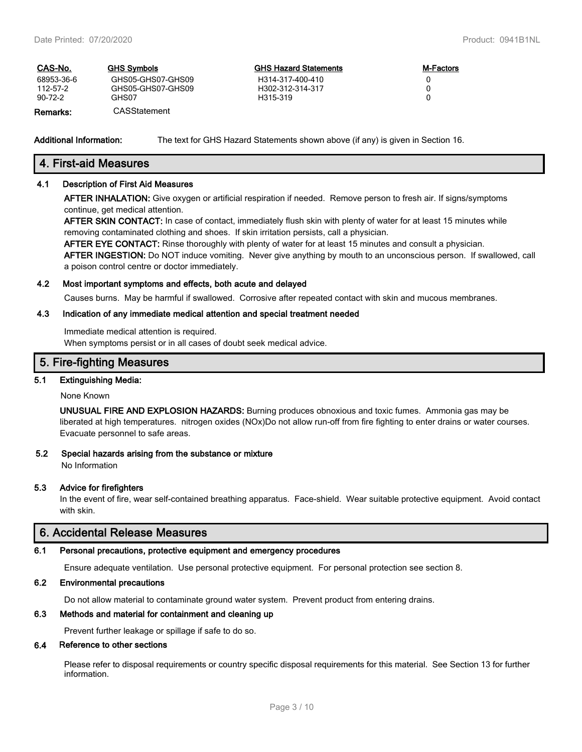| CAS-No.       | <b>GHS Symbols</b> | <b>GHS Hazard Statements</b> | <b>M-Factors</b> |
|---------------|--------------------|------------------------------|------------------|
| 68953-36-6    | GHS05-GHS07-GHS09  | H314-317-400-410             |                  |
| 112-57-2      | GHS05-GHS07-GHS09  | H302-312-314-317             |                  |
| $90 - 72 - 2$ | GHS07              | H315-319                     |                  |
| Remarks:      | CASStatement       |                              |                  |

**Additional Information:** The text for GHS Hazard Statements shown above (if any) is given in Section 16.

# **4. First-aid Measures**

### **4.1 Description of First Aid Measures**

**AFTER INHALATION:** Give oxygen or artificial respiration if needed. Remove person to fresh air. If signs/symptoms continue, get medical attention.

**AFTER SKIN CONTACT:** In case of contact, immediately flush skin with plenty of water for at least 15 minutes while removing contaminated clothing and shoes. If skin irritation persists, call a physician.

**AFTER EYE CONTACT:** Rinse thoroughly with plenty of water for at least 15 minutes and consult a physician.

**AFTER INGESTION:** Do NOT induce vomiting. Never give anything by mouth to an unconscious person. If swallowed, call a poison control centre or doctor immediately.

#### **4.2 Most important symptoms and effects, both acute and delayed**

Causes burns. May be harmful if swallowed. Corrosive after repeated contact with skin and mucous membranes.

### **4.3 Indication of any immediate medical attention and special treatment needed**

Immediate medical attention is required. When symptoms persist or in all cases of doubt seek medical advice.

# **5. Fire-fighting Measures**

#### **5.1 Extinguishing Media:**

None Known

**UNUSUAL FIRE AND EXPLOSION HAZARDS:** Burning produces obnoxious and toxic fumes. Ammonia gas may be liberated at high temperatures. nitrogen oxides (NOx)Do not allow run-off from fire fighting to enter drains or water courses. Evacuate personnel to safe areas.

#### **5.2 Special hazards arising from the substance or mixture**

No Information

#### **5.3 Advice for firefighters**

In the event of fire, wear self-contained breathing apparatus. Face-shield. Wear suitable protective equipment. Avoid contact with skin.

# **6. Accidental Release Measures**

### **6.1 Personal precautions, protective equipment and emergency procedures**

Ensure adequate ventilation. Use personal protective equipment. For personal protection see section 8.

### **6.2 Environmental precautions**

Do not allow material to contaminate ground water system. Prevent product from entering drains.

### **6.3 Methods and material for containment and cleaning up**

Prevent further leakage or spillage if safe to do so.

### **6.4 Reference to other sections**

Please refer to disposal requirements or country specific disposal requirements for this material. See Section 13 for further information.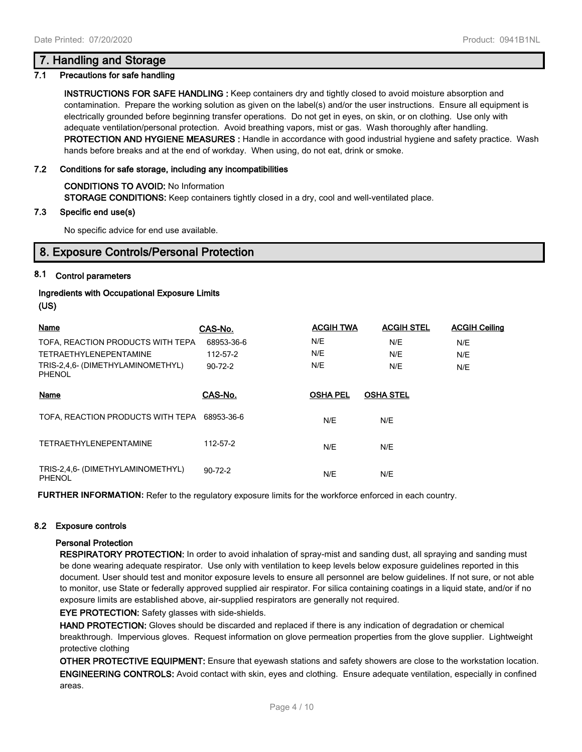### **7.1 Precautions for safe handling**

**INSTRUCTIONS FOR SAFE HANDLING :** Keep containers dry and tightly closed to avoid moisture absorption and contamination. Prepare the working solution as given on the label(s) and/or the user instructions. Ensure all equipment is electrically grounded before beginning transfer operations. Do not get in eyes, on skin, or on clothing. Use only with adequate ventilation/personal protection. Avoid breathing vapors, mist or gas. Wash thoroughly after handling. **PROTECTION AND HYGIENE MEASURES :** Handle in accordance with good industrial hygiene and safety practice. Wash hands before breaks and at the end of workday. When using, do not eat, drink or smoke.

### **7.2 Conditions for safe storage, including any incompatibilities**

# **CONDITIONS TO AVOID:** No Information **STORAGE CONDITIONS:** Keep containers tightly closed in a dry, cool and well-ventilated place.

### **7.3 Specific end use(s)**

No specific advice for end use available.

# **8. Exposure Controls/Personal Protection**

### **8.1 Control parameters**

### **Ingredients with Occupational Exposure Limits (US)**

| Name                                               | CAS-No.       | <b>ACGIH TWA</b> | <b>ACGIH STEL</b> | <b>ACGIH Ceiling</b> |
|----------------------------------------------------|---------------|------------------|-------------------|----------------------|
| TOFA, REACTION PRODUCTS WITH TEPA                  | 68953-36-6    | N/E              | N/E               | N/E                  |
| <b>TETRAETHYLENEPENTAMINE</b>                      | 112-57-2      | N/E              | N/E               | N/E                  |
| TRIS-2,4,6- (DIMETHYLAMINOMETHYL)<br><b>PHENOL</b> | $90 - 72 - 2$ | N/E              | N/E               | N/E                  |
| <b>Name</b>                                        | CAS-No.       | <b>OSHA PEL</b>  | <b>OSHA STEL</b>  |                      |
| TOFA, REACTION PRODUCTS WITH TEPA 68953-36-6       |               | N/E              | N/E               |                      |
| <b>TETRAETHYLENEPENTAMINE</b>                      | 112-57-2      | N/E              | N/E               |                      |
| TRIS-2,4,6- (DIMETHYLAMINOMETHYL)<br><b>PHENOL</b> | $90 - 72 - 2$ | N/E              | N/E               |                      |

**FURTHER INFORMATION:** Refer to the regulatory exposure limits for the workforce enforced in each country.

### **8.2 Exposure controls**

### **Personal Protection**

**RESPIRATORY PROTECTION:** In order to avoid inhalation of spray-mist and sanding dust, all spraying and sanding must be done wearing adequate respirator. Use only with ventilation to keep levels below exposure guidelines reported in this document. User should test and monitor exposure levels to ensure all personnel are below guidelines. If not sure, or not able to monitor, use State or federally approved supplied air respirator. For silica containing coatings in a liquid state, and/or if no exposure limits are established above, air-supplied respirators are generally not required.

**EYE PROTECTION:** Safety glasses with side-shields.

**HAND PROTECTION:** Gloves should be discarded and replaced if there is any indication of degradation or chemical breakthrough. Impervious gloves. Request information on glove permeation properties from the glove supplier. Lightweight protective clothing

**OTHER PROTECTIVE EQUIPMENT:** Ensure that eyewash stations and safety showers are close to the workstation location. **ENGINEERING CONTROLS:** Avoid contact with skin, eyes and clothing. Ensure adequate ventilation, especially in confined areas.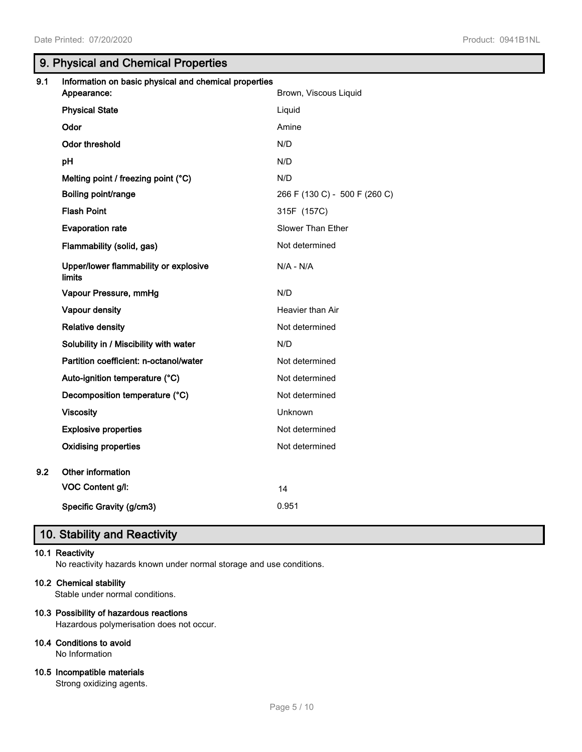# **9. Physical and Chemical Properties**

| 9.1 | Information on basic physical and chemical properties<br>Appearance: | Brown, Viscous Liquid         |
|-----|----------------------------------------------------------------------|-------------------------------|
|     | <b>Physical State</b>                                                | Liquid                        |
|     | Odor                                                                 | Amine                         |
|     | <b>Odor threshold</b>                                                | N/D                           |
|     | pH                                                                   | N/D                           |
|     | Melting point / freezing point (°C)                                  | N/D                           |
|     | Boiling point/range                                                  | 266 F (130 C) - 500 F (260 C) |
|     | <b>Flash Point</b>                                                   | 315F (157C)                   |
|     | <b>Evaporation rate</b>                                              | Slower Than Ether             |
|     | Flammability (solid, gas)                                            | Not determined                |
|     | Upper/lower flammability or explosive<br><b>limits</b>               | $N/A - N/A$                   |
|     | Vapour Pressure, mmHg                                                | N/D                           |
|     | Vapour density                                                       | Heavier than Air              |
|     | <b>Relative density</b>                                              | Not determined                |
|     | Solubility in / Miscibility with water                               | N/D                           |
|     | Partition coefficient: n-octanol/water                               | Not determined                |
|     | Auto-ignition temperature (°C)                                       | Not determined                |
|     | Decomposition temperature (°C)                                       | Not determined                |
|     | <b>Viscosity</b>                                                     | <b>Unknown</b>                |
|     | <b>Explosive properties</b>                                          | Not determined                |
|     | <b>Oxidising properties</b>                                          | Not determined                |
| 9.2 | Other information                                                    |                               |
|     | VOC Content g/l:                                                     | 14                            |
|     | Specific Gravity (g/cm3)                                             | 0.951                         |
|     |                                                                      |                               |

# **10. Stability and Reactivity**

# **10.1 Reactivity**

No reactivity hazards known under normal storage and use conditions.

### **10.2 Chemical stability**

Stable under normal conditions.

# **10.3 Possibility of hazardous reactions**

Hazardous polymerisation does not occur.

# **10.4 Conditions to avoid**

No Information

### **10.5 Incompatible materials**

Strong oxidizing agents.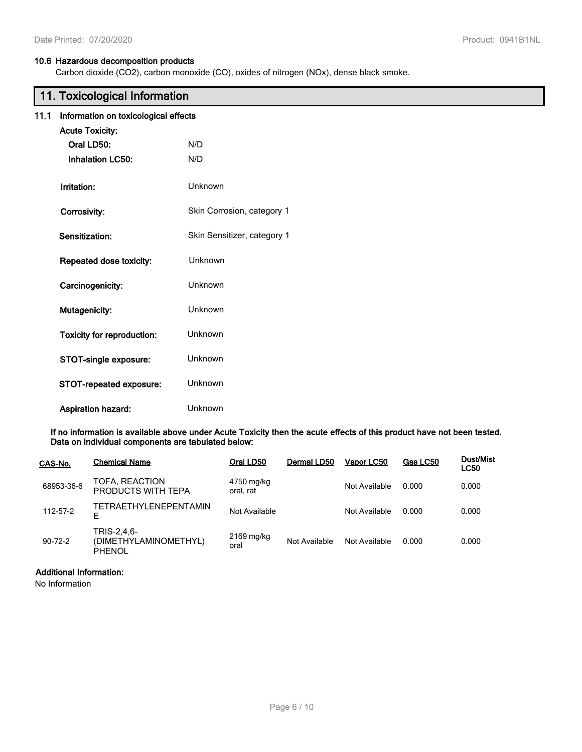# **10.6 Hazardous decomposition products**

Carbon dioxide (CO2), carbon monoxide (CO), oxides of nitrogen (NOx), dense black smoke.

# **11. Toxicological Information**

# **11.1 Information on toxicological effects**

| <b>Acute Toxicity:</b>            |                             |
|-----------------------------------|-----------------------------|
| Oral LD50:                        | N/D                         |
| <b>Inhalation LC50:</b>           | N/D                         |
| Irritation:                       | Unknown                     |
| Corrosivity:                      | Skin Corrosion, category 1  |
| Sensitization:                    | Skin Sensitizer, category 1 |
| Repeated dose toxicity:           | Unknown                     |
| Carcinogenicity:                  | Unknown                     |
| Mutagenicity:                     | Unknown                     |
| <b>Toxicity for reproduction:</b> | Unknown                     |
| STOT-single exposure:             | Unknown                     |
| STOT-repeated exposure:           | Unknown                     |
| <b>Aspiration hazard:</b>         | Unknown                     |

**If no information is available above under Acute Toxicity then the acute effects of this product have not been tested. Data on individual components are tabulated below:**

| CAS-No.       | <b>Chemical Name</b>                           | Oral LD50               | Dermal LD50   | Vapor LC50    | Gas LC50 | <b>Dust/Mist</b><br><b>LC50</b> |
|---------------|------------------------------------------------|-------------------------|---------------|---------------|----------|---------------------------------|
| 68953-36-6    | TOFA, REACTION<br>PRODUCTS WITH TEPA           | 4750 mg/kg<br>oral, rat |               | Not Available | 0.000    | 0.000                           |
| 112-57-2      | TETRAETHYLENEPENTAMIN<br>E                     | Not Available           |               | Not Available | 0.000    | 0.000                           |
| $90 - 72 - 2$ | TRIS-2,4,6-<br>(DIMETHYLAMINOMETHYL)<br>PHENOL | $2169$ mg/kg<br>oral    | Not Available | Not Available | 0.000    | 0.000                           |

### **Additional Information:**

No Information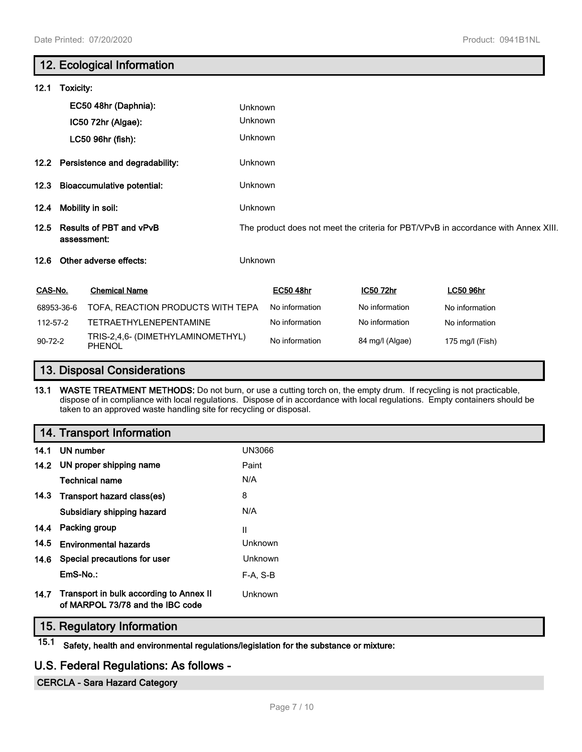# **12. Ecological Information 12.1 Toxicity: EC50 48hr (Daphnia):** Unknown **IC50 72hr (Algae):** Unknown **LC50 96hr (fish):** Unknown **12.2 Persistence and degradability:** Unknown **12.3 Bioaccumulative potential:** Unknown **12.4 Mobility in soil:** Unknown **12.5 Results of PBT and vPvB assessment:** The product does not meet the criteria for PBT/VPvB in accordance with Annex XIII. **12.6 Other adverse effects:** Unknown **CAS-No. Chemical Name EC50 48hr IC50 72hr LC50 96hr** 68953-36-6 TOFA, REACTION PRODUCTS WITH TEPA No information No information No information 112-57-2 TETRAETHYLENEPENTAMINE No information No information No information 90-72-2 TRIS-2,4,6- (DIMETHYLAMINOMETHYL) PHENOL No information 84 mg/l (Algae) 175 mg/l (Fish)

# **13. Disposal Considerations**

**13.1 WASTE TREATMENT METHODS:** Do not burn, or use a cutting torch on, the empty drum. If recycling is not practicable, dispose of in compliance with local regulations. Dispose of in accordance with local regulations. Empty containers should be taken to an approved waste handling site for recycling or disposal.

# **14. Transport Information**

| 14.1 | UN number                                                                   | UN3066     |
|------|-----------------------------------------------------------------------------|------------|
|      | 14.2 UN proper shipping name                                                | Paint      |
|      | <b>Technical name</b>                                                       | N/A        |
| 14.3 | Transport hazard class(es)                                                  | 8          |
|      | Subsidiary shipping hazard                                                  | N/A        |
| 14.4 | Packing group                                                               | Ш          |
| 14.5 | <b>Environmental hazards</b>                                                | Unknown    |
| 14.6 | Special precautions for user                                                | Unknown    |
|      | $EmS-No.$ :                                                                 | $F-A. S-B$ |
| 14.7 | Transport in bulk according to Annex II<br>of MARPOL 73/78 and the IBC code | Unknown    |

# **15. Regulatory Information**

**15.1 Safety, health and environmental regulations/legislation for the substance or mixture:**

# **U.S. Federal Regulations: As follows -**

### **CERCLA - Sara Hazard Category**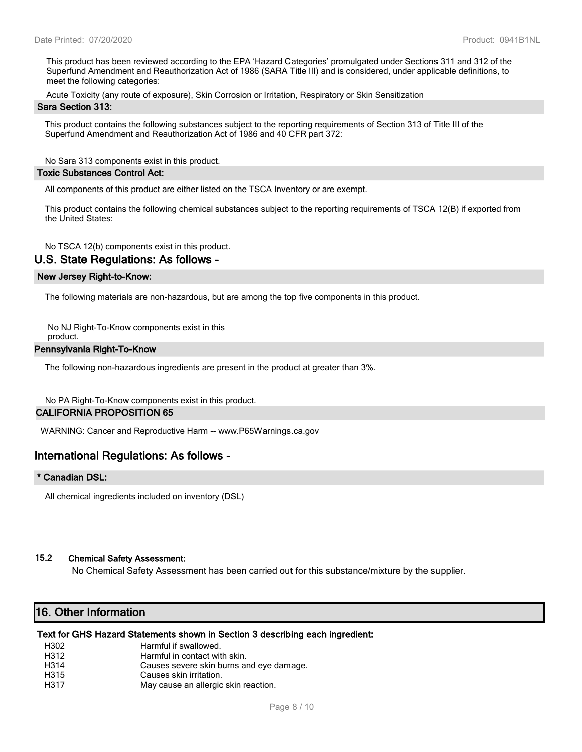This product has been reviewed according to the EPA 'Hazard Categories' promulgated under Sections 311 and 312 of the Superfund Amendment and Reauthorization Act of 1986 (SARA Title III) and is considered, under applicable definitions, to meet the following categories:

Acute Toxicity (any route of exposure), Skin Corrosion or Irritation, Respiratory or Skin Sensitization

#### **Sara Section 313:**

This product contains the following substances subject to the reporting requirements of Section 313 of Title III of the Superfund Amendment and Reauthorization Act of 1986 and 40 CFR part 372:

No Sara 313 components exist in this product.

#### **Toxic Substances Control Act:**

All components of this product are either listed on the TSCA Inventory or are exempt.

This product contains the following chemical substances subject to the reporting requirements of TSCA 12(B) if exported from the United States:

No TSCA 12(b) components exist in this product.

### **U.S. State Regulations: As follows -**

### **New Jersey Right-to-Know:**

The following materials are non-hazardous, but are among the top five components in this product.

No NJ Right-To-Know components exist in this

product.

# **Pennsylvania Right-To-Know**

The following non-hazardous ingredients are present in the product at greater than 3%.

No PA Right-To-Know components exist in this product.

### **CALIFORNIA PROPOSITION 65**

WARNING: Cancer and Reproductive Harm -- www.P65Warnings.ca.gov

# **International Regulations: As follows -**

### **\* Canadian DSL:**

All chemical ingredients included on inventory (DSL)

# **15.2 Chemical Safety Assessment:**

No Chemical Safety Assessment has been carried out for this substance/mixture by the supplier.

# **16. Other Information**

### **Text for GHS Hazard Statements shown in Section 3 describing each ingredient:**

- H302 Harmful if swallowed.
- H312 Harmful in contact with skin.
- H314 Causes severe skin burns and eye damage.
- H315 Causes skin irritation.
- H317 May cause an allergic skin reaction.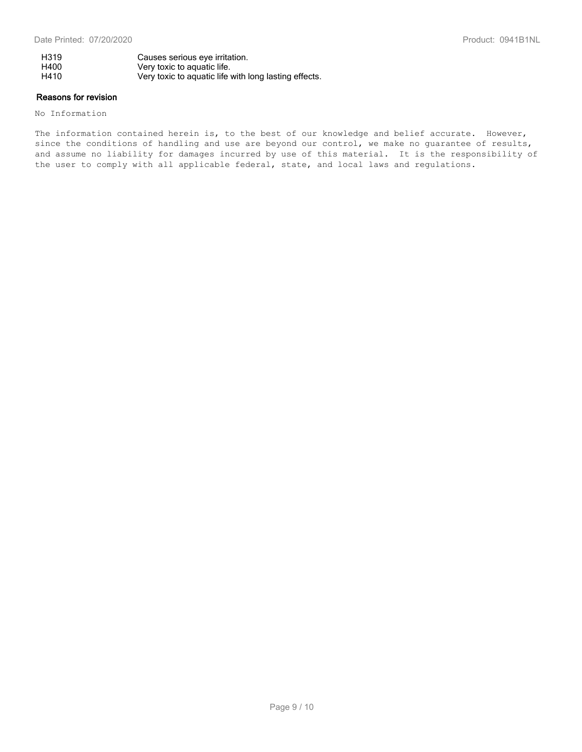| H319 | Causes serious eye irritation.                        |
|------|-------------------------------------------------------|
| H400 | Very toxic to aquatic life.                           |
| H410 | Very toxic to aguatic life with long lasting effects. |

### **Reasons for revision**

No Information

The information contained herein is, to the best of our knowledge and belief accurate. However, since the conditions of handling and use are beyond our control, we make no guarantee of results, and assume no liability for damages incurred by use of this material. It is the responsibility of the user to comply with all applicable federal, state, and local laws and regulations.